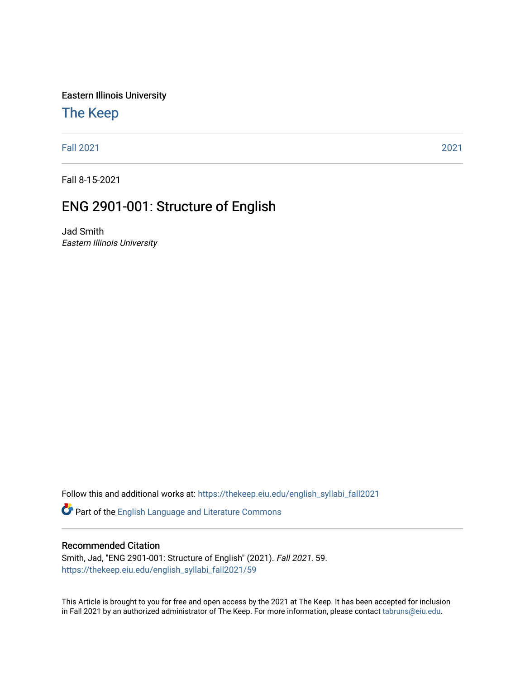Eastern Illinois University

# [The Keep](https://thekeep.eiu.edu/)

[Fall 2021](https://thekeep.eiu.edu/english_syllabi_fall2021) [2021](https://thekeep.eiu.edu/english_syllabi2021) 

Fall 8-15-2021

# ENG 2901-001: Structure of English

Jad Smith Eastern Illinois University

Follow this and additional works at: [https://thekeep.eiu.edu/english\\_syllabi\\_fall2021](https://thekeep.eiu.edu/english_syllabi_fall2021?utm_source=thekeep.eiu.edu%2Fenglish_syllabi_fall2021%2F59&utm_medium=PDF&utm_campaign=PDFCoverPages) 

Part of the [English Language and Literature Commons](http://network.bepress.com/hgg/discipline/455?utm_source=thekeep.eiu.edu%2Fenglish_syllabi_fall2021%2F59&utm_medium=PDF&utm_campaign=PDFCoverPages)

### Recommended Citation

Smith, Jad, "ENG 2901-001: Structure of English" (2021). Fall 2021. 59. [https://thekeep.eiu.edu/english\\_syllabi\\_fall2021/59](https://thekeep.eiu.edu/english_syllabi_fall2021/59?utm_source=thekeep.eiu.edu%2Fenglish_syllabi_fall2021%2F59&utm_medium=PDF&utm_campaign=PDFCoverPages)

This Article is brought to you for free and open access by the 2021 at The Keep. It has been accepted for inclusion in Fall 2021 by an authorized administrator of The Keep. For more information, please contact [tabruns@eiu.edu](mailto:tabruns@eiu.edu).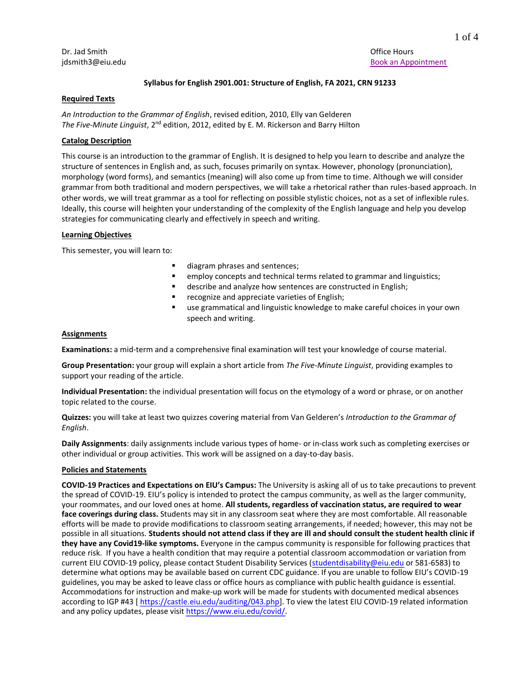Dr. Jad Smith Office Hours and the United States of the United States of the Office Hours of the Office Hours

#### **Syllabus for English 2901.001: Structure of English, FA 2021, CRN 91233**

#### **Required Texts**

*An Introduction to the Grammar of English*, revised edition, 2010, Elly van Gelderen *The Five-Minute Linguist*, 2<sup>nd</sup> edition, 2012, edited by E. M. Rickerson and Barry Hilton

### **Catalog Description**

This course is an introduction to the grammar of English. It is designed to help you learn to describe and analyze the structure of sentences in English and, as such, focuses primarily on syntax. However, phonology (pronunciation), morphology (word forms), and semantics (meaning) will also come up from time to time. Although we will consider grammar from both traditional and modern perspectives, we will take a rhetorical rather than rules-based approach. In other words, we will treat grammar as a tool for reflecting on possible stylistic choices, not as a set of inflexible rules. Ideally, this course will heighten your understanding of the complexity of the English language and help you develop strategies for communicating clearly and effectively in speech and writing.

#### **Learning Objectives**

This semester, you will learn to:

- diagram phrases and sentences;
- employ concepts and technical terms related to grammar and linguistics;
- describe and analyze how sentences are constructed in English;
- recognize and appreciate varieties of English;
- use grammatical and linguistic knowledge to make careful choices in your own speech and writing.

#### **Assignments**

**Examinations:** a mid-term and a comprehensive final examination will test your knowledge of course material.

**Group Presentation:** your group will explain a short article from *The Five-Minute Linguist*, providing examples to support your reading of the article.

**Individual Presentation:** the individual presentation will focus on the etymology of a word or phrase, or on another topic related to the course.

**Quizzes:** you will take at least two quizzes covering material from Van Gelderen's *Introduction to the Grammar of English*.

**Daily Assignments**: daily assignments include various types of home- or in-class work such as completing exercises or other individual or group activities. This work will be assigned on a day-to-day basis.

#### **Policies and Statements**

**COVID-19 Practices and Expectations on EIU's Campus:** The University is asking all of us to take precautions to prevent the spread of COVID-19. EIU's policy is intended to protect the campus community, as well as the larger community, your roommates, and our loved ones at home. **All students, regardless of vaccination status, are required to wear face coverings during class.** Students may sit in any classroom seat where they are most comfortable. All reasonable efforts will be made to provide modifications to classroom seating arrangements, if needed; however, this may not be possible in all situations. **Students should not attend class if they are ill and should consult the student health clinic if they have any Covid19-like symptoms.** Everyone in the campus community is responsible for following practices that reduce risk. If you have a health condition that may require a potential classroom accommodation or variation from current EIU COVID-19 policy, please contact Student Disability Services [\(studentdisability@eiu.edu](mailto:studentdisability@eiu.edu) or 581-6583) to determine what options may be available based on current CDC guidance. If you are unable to follow EIU's COVID-19 guidelines, you may be asked to leave class or office hours as compliance with public health guidance is essential. Accommodations for instruction and make-up work will be made for students with documented medical absences according to IGP #43 [https://castle.eiu.edu/auditing/043.php]. To view the latest EIU COVID-19 related information and any policy updates, please visit [https://www.eiu.edu/covid/.](https://www.eiu.edu/covid/)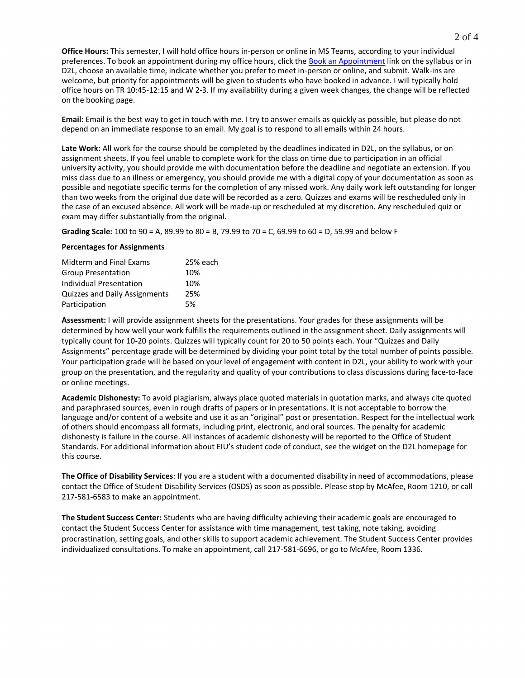**Office Hours:** This semester, I will hold office hours in-person or online in MS Teams, according to your individual preferences. To book an appointment during my office hours, click the [Book an Appointment](https://outlook.office365.com/owa/calendar/JadSmith@pmaileiu.onmicrosoft.com/bookings/) link on the syllabus or in D2L, choose an available time, indicate whether you prefer to meet in-person or online, and submit. Walk-ins are welcome, but priority for appointments will be given to students who have booked in advance. I will typically hold office hours on TR 10:45-12:15 and W 2-3. If my availability during a given week changes, the change will be reflected on the booking page.

**Email:** Email is the best way to get in touch with me. I try to answer emails as quickly as possible, but please do not depend on an immediate response to an email. My goal is to respond to all emails within 24 hours.

**Late Work:** All work for the course should be completed by the deadlines indicated in D2L, on the syllabus, or on assignment sheets. If you feel unable to complete work for the class on time due to participation in an official university activity, you should provide me with documentation before the deadline and negotiate an extension. If you miss class due to an illness or emergency, you should provide me with a digital copy of your documentation as soon as possible and negotiate specific terms for the completion of any missed work. Any daily work left outstanding for longer than two weeks from the original due date will be recorded as a zero. Quizzes and exams will be rescheduled only in the case of an excused absence. All work will be made-up or rescheduled at my discretion. Any rescheduled quiz or exam may differ substantially from the original.

**Grading Scale:** 100 to 90 = A, 89.99 to 80 = B, 79.99 to 70 = C, 69.99 to 60 = D, 59.99 and below F

#### **Percentages for Assignments**

| Midterm and Final Exams       | 25% each |
|-------------------------------|----------|
| <b>Group Presentation</b>     | 10%      |
| Individual Presentation       | 10%      |
| Quizzes and Daily Assignments | 25%      |
| Participation                 | 5%       |

**Assessment:** I will provide assignment sheets for the presentations. Your grades for these assignments will be determined by how well your work fulfills the requirements outlined in the assignment sheet. Daily assignments will typically count for 10-20 points. Quizzes will typically count for 20 to 50 points each. Your "Quizzes and Daily Assignments" percentage grade will be determined by dividing your point total by the total number of points possible. Your participation grade will be based on your level of engagement with content in D2L, your ability to work with your group on the presentation, and the regularity and quality of your contributions to class discussions during face-to-face or online meetings.

**Academic Dishonesty:** To avoid plagiarism, always place quoted materials in quotation marks, and always cite quoted and paraphrased sources, even in rough drafts of papers or in presentations. It is not acceptable to borrow the language and/or content of a website and use it as an "original" post or presentation. Respect for the intellectual work of others should encompass all formats, including print, electronic, and oral sources. The penalty for academic dishonesty is failure in the course. All instances of academic dishonesty will be reported to the Office of Student Standards. For additional information about EIU's student code of conduct, see the widget on the D2L homepage for this course.

**The Office of Disability Services**: If you are a student with a documented disability in need of accommodations, please contact the Office of Student Disability Services (OSDS) as soon as possible. Please stop by McAfee, Room 1210, or call 217-581-6583 to make an appointment.

**The Student Success Center:** Students who are having difficulty achieving their academic goals are encouraged to contact the Student Success Center for assistance with time management, test taking, note taking, avoiding procrastination, setting goals, and other skills to support academic achievement. The Student Success Center provides individualized consultations. To make an appointment, call 217-581-6696, or go to McAfee, Room 1336.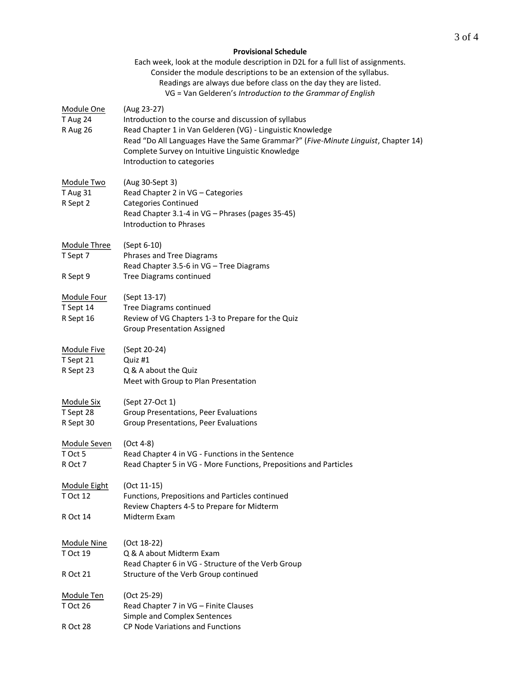## **Provisional Schedule** Each week, look at the module description in D2L for a full list of assignments. Consider the module descriptions to be an extension of the syllabus. Readings are always due before class on the day they are listed. VG = Van Gelderen's *Introduction to the Grammar of English* Module One (Aug 23-27) T Aug 24 Introduction to the course and discussion of syllabus R Aug 26 Read Chapter 1 in Van Gelderen (VG) - Linguistic Knowledge Read "Do All Languages Have the Same Grammar?" (*Five-Minute Linguist*, Chapter 14) Complete Survey on Intuitive Linguistic Knowledge Introduction to categories Module Two (Aug 30-Sept 3) T Aug 31 Read Chapter 2 in VG – Categories R Sept 2 Categories Continued Read Chapter 3.1-4 in VG – Phrases (pages 35-45) Introduction to Phrases Module Three (Sept 6-10) T Sept 7 Phrases and Tree Diagrams Read Chapter 3.5-6 in VG – Tree Diagrams R Sept 9 Tree Diagrams continued Module Four (Sept 13-17) T Sept 14 Tree Diagrams continued R Sept 16 Review of VG Chapters 1-3 to Prepare for the Quiz Group Presentation Assigned Module Five (Sept 20-24) T Sept 21 Quiz #1 R Sept 23 Q & A about the Quiz Meet with Group to Plan Presentation Module Six (Sept 27-Oct 1) T Sept 28 Group Presentations, Peer Evaluations R Sept 30 Group Presentations, Peer Evaluations Module Seven (Oct 4-8) T Oct 5 Read Chapter 4 in VG - Functions in the Sentence R Oct 7 Read Chapter 5 in VG - More Functions, Prepositions and Particles Module Eight (Oct 11-15) T Oct 12 Functions, Prepositions and Particles continued Review Chapters 4-5 to Prepare for Midterm R Oct 14 Midterm Exam Module Nine (Oct 18-22) T Oct 19 Q & A about Midterm Exam Read Chapter 6 in VG - Structure of the Verb Group R Oct 21 Structure of the Verb Group continued Module Ten (Oct 25-29) T Oct 26 Read Chapter 7 in VG – Finite Clauses Simple and Complex Sentences R Oct 28 CP Node Variations and Functions